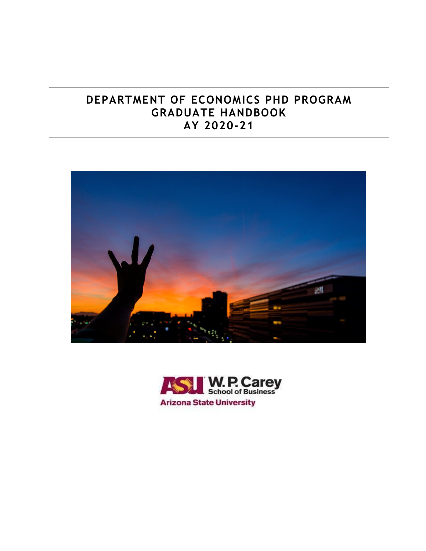# **DEPARTMENT OF ECONOMICS PHD PROGRAM GRADUATE HANDBOOK AY 2020-21**



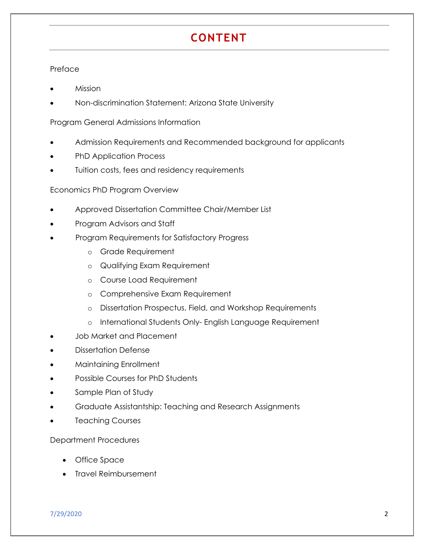# **CONTENT**

#### Preface

- Mission
- Non-discrimination Statement: Arizona State University

Program General Admissions Information

- Admission Requirements and Recommended background for applicants
- PhD Application Process
- Tuition costs, fees and residency requirements

#### Economics PhD Program Overview

- Approved Dissertation Committee Chair/Member List
- Program Advisors and Staff
- Program Requirements for Satisfactory Progress
	- o Grade Requirement
	- o Qualifying Exam Requirement
	- o Course Load Requirement
	- o Comprehensive Exam Requirement
	- o Dissertation Prospectus, Field, and Workshop Requirements
	- o International Students Only- English Language Requirement
- Job Market and Placement
- Dissertation Defense
- Maintaining Enrollment
- Possible Courses for PhD Students
- Sample Plan of Study
- Graduate Assistantship: Teaching and Research Assignments
- Teaching Courses

#### Department Procedures

- Office Space
- Travel Reimbursement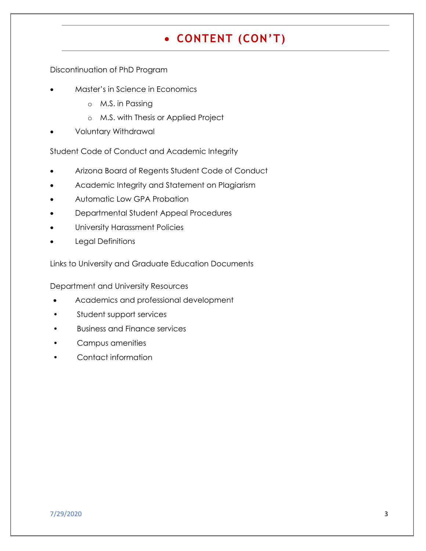# **CONTENT (CON'T)**

Discontinuation of PhD Program

- Master's in Science in Economics
	- o M.S. in Passing
	- o M.S. with Thesis or Applied Project
- Voluntary Withdrawal

Student Code of Conduct and Academic Integrity

- Arizona Board of Regents Student Code of Conduct
- Academic Integrity and Statement on Plagiarism
- Automatic Low GPA Probation
- Departmental Student Appeal Procedures
- University Harassment Policies
- Legal Definitions

Links to University and Graduate Education Documents

Department and University Resources

- Academics and professional development
- Student support services
- Business and Finance services
- Campus amenities
- Contact information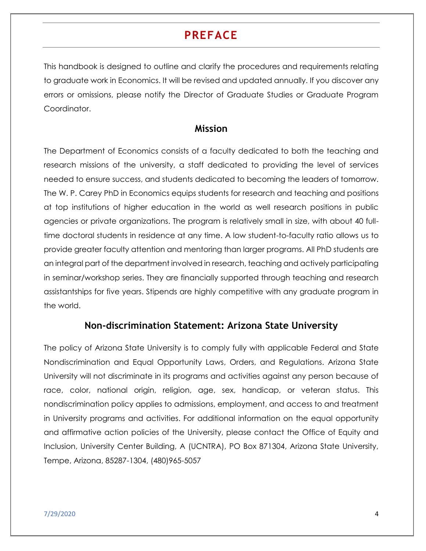# **PREFACE**

This handbook is designed to outline and clarify the procedures and requirements relating to graduate work in Economics. It will be revised and updated annually. If you discover any errors or omissions, please notify the Director of Graduate Studies or Graduate Program Coordinator.

#### **Mission**

The Department of Economics consists of a faculty dedicated to both the teaching and research missions of the university, a staff dedicated to providing the level of services needed to ensure success, and students dedicated to becoming the leaders of tomorrow. The W. P. Carey PhD in Economics equips students for research and teaching and positions at top institutions of higher education in the world as well research positions in public agencies or private organizations. The program is relatively small in size, with about 40 fulltime doctoral students in residence at any time. A low student-to-faculty ratio allows us to provide greater faculty attention and mentoring than larger programs. All PhD students are an integral part of the department involved in research, teaching and actively participating in seminar/workshop series. They are financially supported through teaching and research assistantships for five years. Stipends are highly competitive with any graduate program in the world.

### **Non-discrimination Statement: Arizona State University**

The policy of Arizona State University is to comply fully with applicable Federal and State Nondiscrimination and Equal Opportunity Laws, Orders, and Regulations. Arizona State University will not discriminate in its programs and activities against any person because of race, color, national origin, religion, age, sex, handicap, or veteran status. This nondiscrimination policy applies to admissions, employment, and access to and treatment in University programs and activities. For additional information on the equal opportunity and affirmative action policies of the University, please contact the Office of Equity and Inclusion, University Center Building, A (UCNTRA), PO Box 871304, Arizona State University, Tempe, Arizona, 85287-1304, (480)965-5057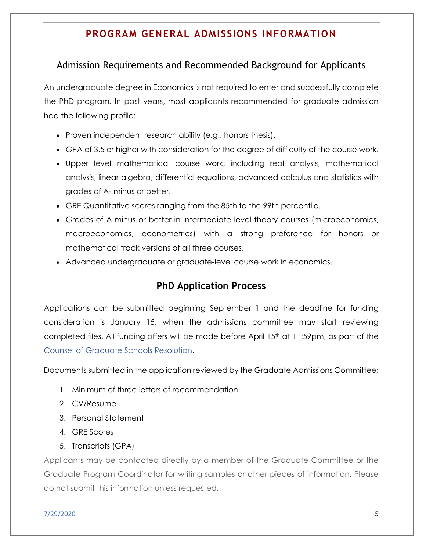## **PROGRAM GENERAL ADMISSIONS INFORMATION**

### Admission Requirements and Recommended Background for Applicants

An undergraduate degree in Economics is not required to enter and successfully complete the PhD program. In past years, most applicants recommended for graduate admission had the following profile:

- Proven independent research ability (e.g., honors thesis).
- GPA of 3.5 or higher with consideration for the degree of difficulty of the course work.
- Upper level mathematical course work, including real analysis, mathematical analysis, linear algebra, differential equations, advanced calculus and statistics with grades of A- minus or better.
- GRE Quantitative scores ranging from the 85th to the 99th percentile.
- Grades of A-minus or better in intermediate level theory courses (microeconomics, macroeconomics, econometrics) with a strong preference for honors or mathematical track versions of all three courses.
- Advanced undergraduate or graduate-level course work in economics.

### **PhD Application Process**

Applications can be submitted beginning September 1 and the deadline for funding consideration is January 15, when the admissions committee may start reviewing completed files. All funding offers will be made before April 15th at 11:59pm, as part of the [Counsel of Graduate Schools Resolution.](http://cgsnet.org/april-15-resolution)

Documents submitted in the application reviewed by the Graduate Admissions Committee:

- 1. Minimum of three letters of recommendation
- 2. CV/Resume
- 3. Personal Statement
- 4. GRE Scores
- 5. Transcripts (GPA)

Applicants may be contacted directly by a member of the Graduate Committee or the Graduate Program Coordinator for writing samples or other pieces of information. Please do not submit this information unless requested.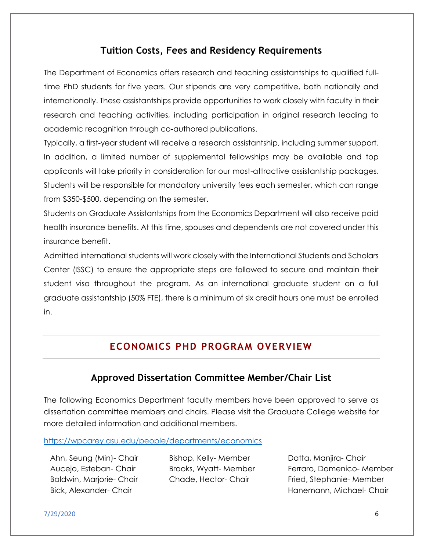### **Tuition Costs, Fees and Residency Requirements**

The Department of Economics offers research and teaching assistantships to qualified fulltime PhD students for five years. Our stipends are very competitive, both nationally and internationally. These assistantships provide opportunities to work closely with faculty in their research and teaching activities, including participation in original research leading to academic recognition through co-authored publications.

Typically, a first-year student will receive a research assistantship, including summer support. In addition, a limited number of supplemental fellowships may be available and top applicants will take priority in consideration for our most-attractive assistantship packages. Students will be responsible for mandatory university fees each semester, which can range from \$350-\$500, depending on the semester.

Students on Graduate Assistantships from the Economics Department will also receive paid health insurance benefits. At this time, spouses and dependents are not covered under this insurance benefit.

Admitted international students will work closely with the International Students and Scholars Center (ISSC) to ensure the appropriate steps are followed to secure and maintain their student visa throughout the program. As an international graduate student on a full graduate assistantship (50% FTE), there is a minimum of six credit hours one must be enrolled in.

### **ECONOMICS PHD PROGRAM OVERVIEW**

### **Approved Dissertation Committee Member/Chair List**

The following Economics Department faculty members have been approved to serve as dissertation committee members and chairs. Please visit the Graduate College website for more detailed information and additional members.

<https://wpcarey.asu.edu/people/departments/economics>

Ahn, Seung (Min)- Chair Aucejo, Esteban- Chair Baldwin, Marjorie- Chair Bick, Alexander- Chair

Bishop, Kelly- Member Brooks, Wyatt- Member Chade, Hector- Chair

Datta, Manjira- Chair Ferraro, Domenico- Member Fried, Stephanie- Member Hanemann, Michael- Chair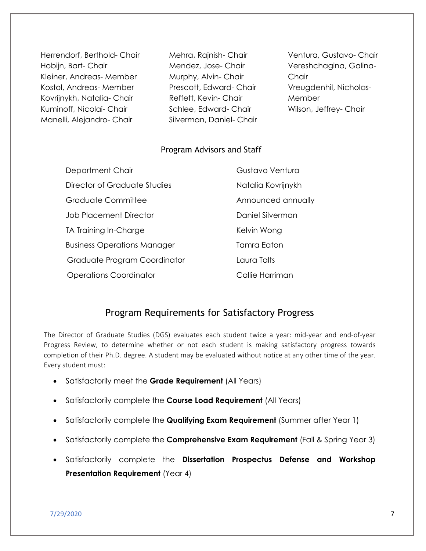Herrendorf, Berthold- Chair Hobijn, Bart- Chair Kleiner, Andreas- Member Kostol, Andreas- Member Kovrijnykh, Natalia- Chair Kuminoff, Nicolai- Chair Manelli, Alejandro- Chair

Mehra, Rajnish- Chair Mendez, Jose- Chair Murphy, Alvin- Chair Prescott, Edward- Chair Reffett, Kevin- Chair Schlee, Edward- Chair Silverman, Daniel- Chair

Ventura, Gustavo- Chair Vereshchagina, Galina-**Chair** Vreugdenhil, Nicholas-**Member** Wilson, Jeffrey- Chair

#### Program Advisors and Staff

| Department Chair                   | Gustavo Ventura    |
|------------------------------------|--------------------|
| Director of Graduate Studies       | Natalia Kovrijnykh |
| Graduate Committee                 | Announced annually |
| <b>Job Placement Director</b>      | Daniel Silverman   |
| TA Training In-Charge              | Kelvin Wong        |
| <b>Business Operations Manager</b> | Tamra Eaton        |
| Graduate Program Coordinator       | Laura Talts        |
| <b>Operations Coordinator</b>      | Callie Harriman    |

### Program Requirements for Satisfactory Progress

The Director of Graduate Studies (DGS) evaluates each student twice a year: mid-year and end-of-year Progress Review, to determine whether or not each student is making satisfactory progress towards completion of their Ph.D. degree. A student may be evaluated without notice at any other time of the year. Every student must:

- Satisfactorily meet the **Grade Requirement** (All Years)
- Satisfactorily complete the **Course Load Requirement** (All Years)
- Satisfactorily complete the **Qualifying Exam Requirement** (Summer after Year 1)
- Satisfactorily complete the **Comprehensive Exam Requirement** (Fall & Spring Year 3)
- Satisfactorily complete the **Dissertation Prospectus Defense and Workshop Presentation Requirement** (Year 4)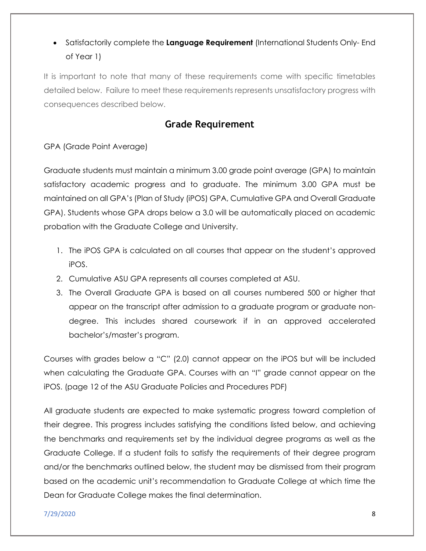## Satisfactorily complete the **Language Requirement** (International Students Only- End of Year 1)

It is important to note that many of these requirements come with specific timetables detailed below. Failure to meet these requirements represents unsatisfactory progress with consequences described below.

### **Grade Requirement**

GPA (Grade Point Average)

Graduate students must maintain a minimum 3.00 grade point average (GPA) to maintain satisfactory academic progress and to graduate. The minimum 3.00 GPA must be maintained on all GPA's (Plan of Study (iPOS) GPA, Cumulative GPA and Overall Graduate GPA). Students whose GPA drops below a 3.0 will be automatically placed on academic probation with the Graduate College and University.

- 1. The iPOS GPA is calculated on all courses that appear on the student's approved iPOS.
- 2. Cumulative ASU GPA represents all courses completed at ASU.
- 3. The Overall Graduate GPA is based on all courses numbered 500 or higher that appear on the transcript after admission to a graduate program or graduate nondegree. This includes shared coursework if in an approved accelerated bachelor's/master's program.

Courses with grades below a "C" (2.0) cannot appear on the iPOS but will be included when calculating the Graduate GPA. Courses with an "I" grade cannot appear on the iPOS. (page 12 of the ASU Graduate Policies and Procedures PDF)

All graduate students are expected to make systematic progress toward completion of their degree. This progress includes satisfying the conditions listed below, and achieving the benchmarks and requirements set by the individual degree programs as well as the Graduate College. If a student fails to satisfy the requirements of their degree program and/or the benchmarks outlined below, the student may be dismissed from their program based on the academic unit's recommendation to Graduate College at which time the Dean for Graduate College makes the final determination.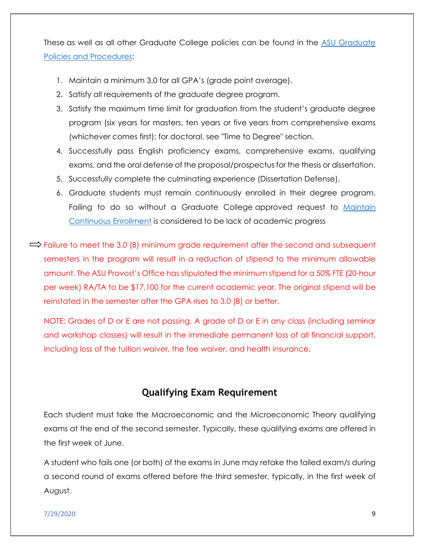These as well as all other Graduate College policies can be found in the [ASU Graduate](https://graduate.asu.edu/policies-procedures)  [Policies and Procedures:](https://graduate.asu.edu/policies-procedures)

- 1. Maintain a minimum 3.0 for all GPA's (grade point average).
- 2. Satisfy all requirements of the graduate degree program.
- 3. Satisfy the maximum time limit for graduation from the student's graduate degree program (six years for masters, ten years or five years from comprehensive exams (whichever comes first); for doctoral, see "Time to Degree" section.
- 4. Successfully pass English proficiency exams, comprehensive exams, qualifying exams, and the oral defense of the proposal/prospectus for the thesis or dissertation.
- 5. Successfully complete the culminating experience (Dissertation Defense).
- 6. Graduate students must remain continuously enrolled in their degree program. Failing to do so without a Graduate College approved request to [Maintain](https://graduate.asu.edu/sites/default/files/maintain-continuous-enrollment-masters-certificate.pdf)  [Continuous Enrollment](https://graduate.asu.edu/sites/default/files/maintain-continuous-enrollment-masters-certificate.pdf) is considered to be lack of academic progress
- $\Rightarrow$  Failure to meet the 3.0 (B) minimum grade requirement after the second and subsequent semesters in the program will result in a reduction of stipend to the minimum allowable amount. The ASU Provost's Office has stipulated the minimum stipend for a 50% FTE (20-hour per week) RA/TA to be \$17,100 for the current academic year. The original stipend will be reinstated in the semester after the GPA rises to 3.0 (B) or better.

NOTE: Grades of D or E are not passing. A grade of D or E in any class (including seminar and workshop classes) will result in the immediate permanent loss of all financial support, including loss of the tuition waiver, the fee waiver, and health insurance.

### **Qualifying Exam Requirement**

Each student must take the Macroeconomic and the Microeconomic Theory qualifying exams at the end of the second semester. Typically, these qualifying exams are offered in the first week of June.

A student who fails one (or both) of the exams in June may retake the failed exam/s during a second round of exams offered before the third semester, typically, in the first week of August.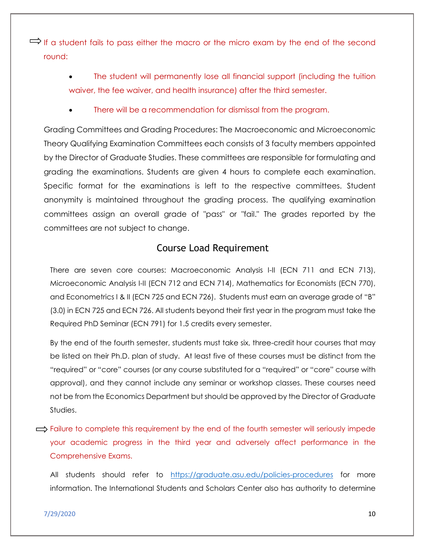$\Rightarrow$  If a student fails to pass either the macro or the micro exam by the end of the second round:

> The student will permanently lose all financial support (including the tuition waiver, the fee waiver, and health insurance) after the third semester.

There will be a recommendation for dismissal from the program.

Grading Committees and Grading Procedures: The Macroeconomic and Microeconomic Theory Qualifying Examination Committees each consists of 3 faculty members appointed by the Director of Graduate Studies. These committees are responsible for formulating and grading the examinations. Students are given 4 hours to complete each examination. Specific format for the examinations is left to the respective committees. Student anonymity is maintained throughout the grading process. The qualifying examination committees assign an overall grade of "pass" or "fail." The grades reported by the committees are not subject to change.

### Course Load Requirement

There are seven core courses: Macroeconomic Analysis I-II (ECN 711 and ECN 713), Microeconomic Analysis I-II (ECN 712 and ECN 714), Mathematics for Economists (ECN 770), and Econometrics I & II (ECN 725 and ECN 726). Students must earn an average grade of "B" (3.0) in ECN 725 and ECN 726. All students beyond their first year in the program must take the Required PhD Seminar (ECN 791) for 1.5 credits every semester.

By the end of the fourth semester, students must take six, three-credit hour courses that may be listed on their Ph.D. plan of study. At least five of these courses must be distinct from the "required" or "core" courses (or any course substituted for a "required" or "core" course with approval), and they cannot include any seminar or workshop classes. These courses need not be from the Economics Department but should be approved by the Director of Graduate Studies.

 $\implies$  Failure to complete this requirement by the end of the fourth semester will seriously impede your academic progress in the third year and adversely affect performance in the Comprehensive Exams.

All students should refer to <https://graduate.asu.edu/policies-procedures> for more information. The International Students and Scholars Center also has authority to determine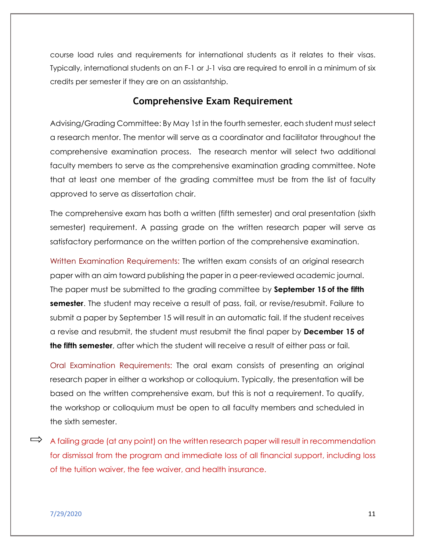course load rules and requirements for international students as it relates to their visas. Typically, international students on an F-1 or J-1 visa are required to enroll in a minimum of six credits per semester if they are on an assistantship.

### **Comprehensive Exam Requirement**

Advising/Grading Committee: By May 1st in the fourth semester, each student must select a research mentor. The mentor will serve as a coordinator and facilitator throughout the comprehensive examination process. The research mentor will select two additional faculty members to serve as the comprehensive examination grading committee. Note that at least one member of the grading committee must be from the list of faculty approved to serve as dissertation chair.

The comprehensive exam has both a written (fifth semester) and oral presentation (sixth semester) requirement. A passing grade on the written research paper will serve as satisfactory performance on the written portion of the comprehensive examination.

Written Examination Requirements: The written exam consists of an original research paper with an aim toward publishing the paper in a peer-reviewed academic journal. The paper must be submitted to the grading committee by **September 15 of the fifth semester**. The student may receive a result of pass, fail, or revise/resubmit. Failure to submit a paper by September 15 will result in an automatic fail. If the student receives a revise and resubmit, the student must resubmit the final paper by **December 15 of the fifth semester**, after which the student will receive a result of either pass or fail.

Oral Examination Requirements: The oral exam consists of presenting an original research paper in either a workshop or colloquium. Typically, the presentation will be based on the written comprehensive exam, but this is not a requirement. To qualify, the workshop or colloquium must be open to all faculty members and scheduled in the sixth semester.

 $\Rightarrow$  A failing grade (at any point) on the written research paper will result in recommendation for dismissal from the program and immediate loss of all financial support, including loss of the tuition waiver, the fee waiver, and health insurance.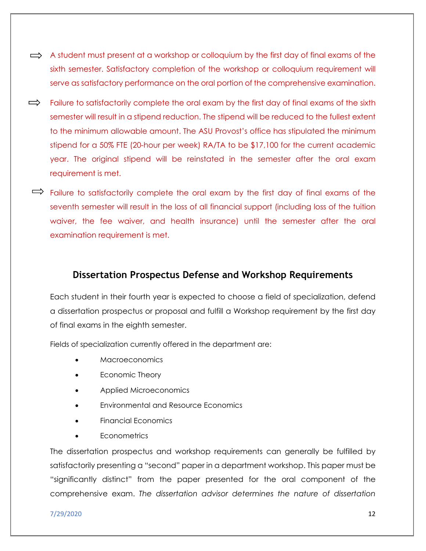- $\implies$  A student must present at a workshop or colloquium by the first day of final exams of the sixth semester. Satisfactory completion of the workshop or colloquium requirement will serve as satisfactory performance on the oral portion of the comprehensive examination.
- $\Rightarrow$ Failure to satisfactorily complete the oral exam by the first day of final exams of the sixth semester will result in a stipend reduction. The stipend will be reduced to the fullest extent to the minimum allowable amount. The ASU Provost's office has stipulated the minimum stipend for a 50% FTE (20-hour per week) RA/TA to be \$17,100 for the current academic year. The original stipend will be reinstated in the semester after the oral exam requirement is met.
- $\Rightarrow$  Failure to satisfactorily complete the oral exam by the first day of final exams of the seventh semester will result in the loss of all financial support (including loss of the tuition waiver, the fee waiver, and health insurance) until the semester after the oral examination requirement is met.

### **Dissertation Prospectus Defense and Workshop Requirements**

Each student in their fourth year is expected to choose a field of specialization, defend a dissertation prospectus or proposal and fulfill a Workshop requirement by the first day of final exams in the eighth semester.

Fields of specialization currently offered in the department are:

- Macroeconomics
- Economic Theory
- Applied Microeconomics
- Environmental and Resource Economics
- Financial Economics
- **Econometrics**

The dissertation prospectus and workshop requirements can generally be fulfilled by satisfactorily presenting a "second" paper in a department workshop. This paper must be "significantly distinct" from the paper presented for the oral component of the comprehensive exam. *The dissertation advisor determines the nature of dissertation*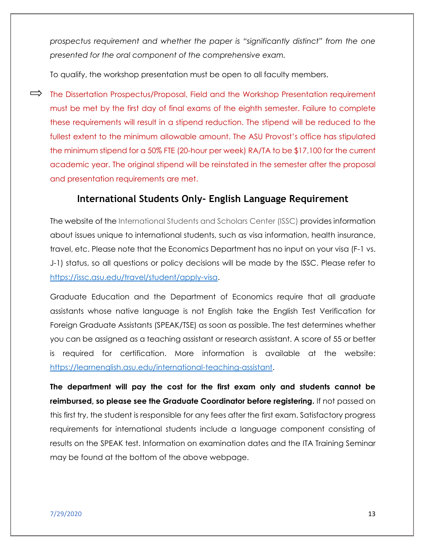*prospectus requirement and whether the paper is "significantly distinct" from the one presented for the oral component of the comprehensive exam.*

To qualify, the workshop presentation must be open to all faculty members.

 $\implies$  The Dissertation Prospectus/Proposal, Field and the Workshop Presentation requirement must be met by the first day of final exams of the eighth semester. Failure to complete these requirements will result in a stipend reduction. The stipend will be reduced to the fullest extent to the minimum allowable amount. The ASU Provost's office has stipulated the minimum stipend for a 50% FTE (20-hour per week) RA/TA to be \$17,100 for the current academic year. The original stipend will be reinstated in the semester after the proposal and presentation requirements are met.

### **International Students Only- English Language Requirement**

The website of the International Students and Scholars Center (ISSC) provides information about issues unique to international students, such as visa information, health insurance, travel, etc. Please note that the Economics Department has no input on your visa (F-1 vs. J-1) status, so all questions or policy decisions will be made by the ISSC. Please refer to [https://issc.asu.edu/travel/student/apply-visa.](https://issc.asu.edu/travel/student/apply-visa)

Graduate Education and the Department of Economics require that all graduate assistants whose native language is not English take the English Test Verification for Foreign Graduate Assistants (SPEAK/TSE) as soon as possible. The test determines whether you can be assigned as a teaching assistant or research assistant. A score of 55 or better is required for certification. More information is available at the website: [https://learnenglish.asu.edu/international-teaching-assistant.](https://learnenglish.asu.edu/international-teaching-assistant)

**The department will pay the cost for the first exam only and students cannot be reimbursed, so please see the Graduate Coordinator before registering.** If not passed on this first try, the student is responsible for any fees after the first exam. Satisfactory progress requirements for international students include a language component consisting of results on the SPEAK test. Information on examination dates and the ITA Training Seminar may be found at the bottom of the above webpage.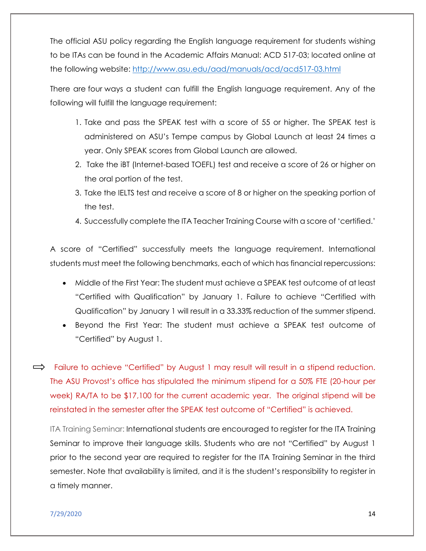The official ASU policy regarding the English language requirement for students wishing to be ITAs can be found in the Academic Affairs Manual: ACD 517-03; located online at the following website:<http://www.asu.edu/aad/manuals/acd/acd517-03.html>

There are four ways a student can fulfill the English language requirement. Any of the following will fulfill the language requirement:

- 1. Take and pass the SPEAK test with a score of 55 or higher. The SPEAK test is administered on ASU's Tempe campus by Global Launch at least 24 times a year. Only SPEAK scores from Global Launch are allowed.
- 2. Take the iBT (Internet-based TOEFL) test and receive a score of 26 or higher on the oral portion of the test.
- 3. Take the IELTS test and receive a score of 8 or higher on the speaking portion of the test.
- 4. Successfully complete the ITA Teacher Training Course with a score of 'certified.'

A score of "Certified" successfully meets the language requirement. International students must meet the following benchmarks, each of which has financial repercussions:

- Middle of the First Year: The student must achieve a SPEAK test outcome of at least "Certified with Qualification" by January 1. Failure to achieve "Certified with Qualification" by January 1 will result in a 33.33% reduction of the summer stipend.
- Beyond the First Year: The student must achieve a SPEAK test outcome of "Certified" by August 1.

 $\Rightarrow$  Failure to achieve "Certified" by August 1 may result will result in a stipend reduction. The ASU Provost's office has stipulated the minimum stipend for a 50% FTE (20-hour per week) RA/TA to be \$17,100 for the current academic year. The original stipend will be reinstated in the semester after the SPEAK test outcome of "Certified" is achieved.

ITA Training Seminar: International students are encouraged to register for the ITA Training Seminar to improve their language skills. Students who are not "Certified" by August 1 prior to the second year are required to register for the ITA Training Seminar in the third semester. Note that availability is limited, and it is the student's responsibility to register in a timely manner.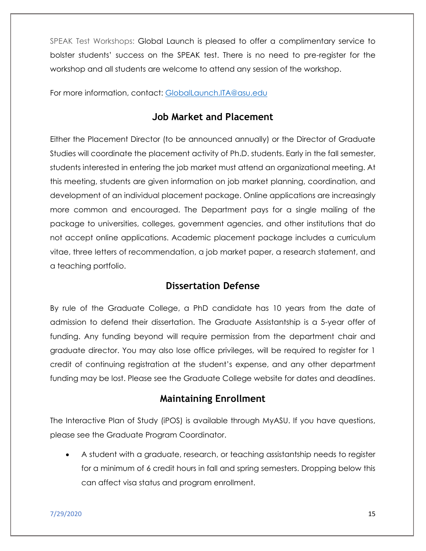SPEAK Test Workshops: Global Launch is pleased to offer a complimentary service to bolster students' success on the SPEAK test. There is no need to pre-register for the workshop and all students are welcome to attend any session of the workshop.

For more information, contact: [GlobalLaunch.ITA@asu.edu](mailto:GlobalLaunch.ITA@asu.edu)

### **Job Market and Placement**

Either the Placement Director (to be announced annually) or the Director of Graduate Studies will coordinate the placement activity of Ph.D. students. Early in the fall semester, students interested in entering the job market must attend an organizational meeting. At this meeting, students are given information on job market planning, coordination, and development of an individual placement package. Online applications are increasingly more common and encouraged. The Department pays for a single mailing of the package to universities, colleges, government agencies, and other institutions that do not accept online applications. Academic placement package includes a curriculum vitae, three letters of recommendation, a job market paper, a research statement, and a teaching portfolio.

#### **Dissertation Defense**

By rule of the Graduate College, a PhD candidate has 10 years from the date of admission to defend their dissertation. The Graduate Assistantship is a 5-year offer of funding. Any funding beyond will require permission from the department chair and graduate director. You may also lose office privileges, will be required to register for 1 credit of continuing registration at the student's expense, and any other department funding may be lost. Please see the Graduate College website for dates and deadlines.

### **Maintaining Enrollment**

The Interactive Plan of Study (iPOS) is available through MyASU. If you have questions, please see the Graduate Program Coordinator.

 A student with a graduate, research, or teaching assistantship needs to register for a minimum of 6 credit hours in fall and spring semesters. Dropping below this can affect visa status and program enrollment.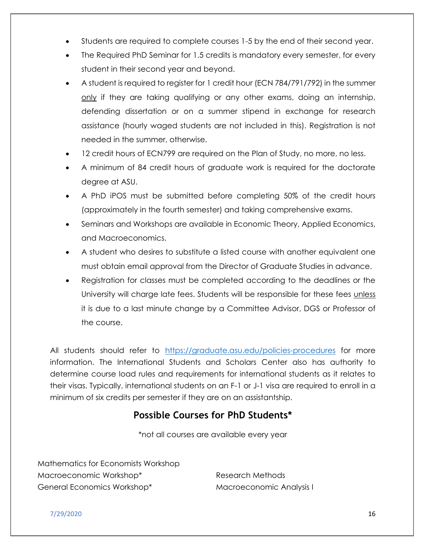- Students are required to complete courses 1-5 by the end of their second year.
- The Required PhD Seminar for 1.5 credits is mandatory every semester, for every student in their second year and beyond.
- A student is required to register for 1 credit hour (ECN 784/791/792) in the summer only if they are taking qualifying or any other exams, doing an internship, defending dissertation or on a summer stipend in exchange for research assistance (hourly waged students are not included in this). Registration is not needed in the summer, otherwise.
- 12 credit hours of ECN799 are required on the Plan of Study, no more, no less.
- A minimum of 84 credit hours of graduate work is required for the doctorate degree at ASU.
- A PhD iPOS must be submitted before completing 50% of the credit hours (approximately in the fourth semester) and taking comprehensive exams.
- Seminars and Workshops are available in Economic Theory, Applied Economics, and Macroeconomics.
- A student who desires to substitute a listed course with another equivalent one must obtain email approval from the Director of Graduate Studies in advance.
- Registration for classes must be completed according to the deadlines or the University will charge late fees. Students will be responsible for these fees unless it is due to a last minute change by a Committee Advisor, DGS or Professor of the course.

All students should refer to <https://graduate.asu.edu/policies-procedures> for more information. The International Students and Scholars Center also has authority to determine course load rules and requirements for international students as it relates to their visas. Typically, international students on an F-1 or J-1 visa are required to enroll in a minimum of six credits per semester if they are on an assistantship.

### **Possible Courses for PhD Students\***

\*not all courses are available every year

Mathematics for Economists Workshop Macroeconomic Workshop\* General Economics Workshop\*

Research Methods Macroeconomic Analysis I

 $7/29/2020$  and the contract of the contract of the contract of the contract of the contract of the contract of the contract of the contract of the contract of the contract of the contract of the contract of the contract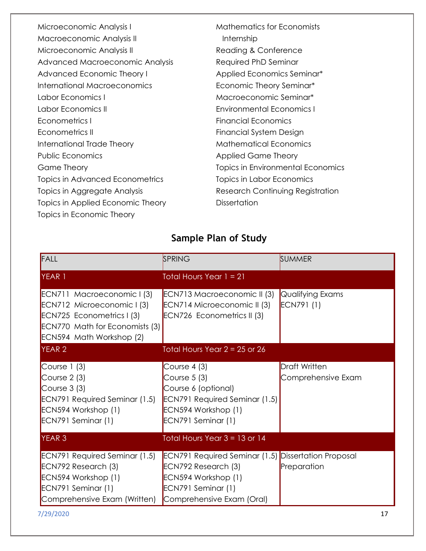| Microeconomic Analysis I               | <b>Mathematics for Economists</b> |
|----------------------------------------|-----------------------------------|
| Macroeconomic Analysis II              | Internship                        |
| Microeconomic Analysis II              | Reading & Conference              |
| Advanced Macroeconomic Analysis        | Required PhD Seminar              |
| Advanced Economic Theory I             | Applied Economics Seminar*        |
| International Macroeconomics           | Economic Theory Seminar*          |
| Labor Economics I                      | Macroeconomic Seminar*            |
| Labor Economics III                    | <b>Environmental Economics I</b>  |
| Econometrics I                         | <b>Financial Economics</b>        |
| Econometrics II                        | Financial System Design           |
| International Trade Theory             | <b>Mathematical Economics</b>     |
| Public Economics                       | <b>Applied Game Theory</b>        |
| Game Theory                            | Topics in Environmental Economics |
| <b>Topics in Advanced Econometrics</b> | Topics in Labor Economics         |
| Topics in Aggregate Analysis           | Research Continuing Registration  |
| Topics in Applied Economic Theory      | <b>Dissertation</b>               |
| Topics in Economic Theory              |                                   |

# **Sample Plan of Study**

| FALL                                                                                                                                                       | SPRING                                                                                                                                                      | SUMMER                                     |
|------------------------------------------------------------------------------------------------------------------------------------------------------------|-------------------------------------------------------------------------------------------------------------------------------------------------------------|--------------------------------------------|
| YEAR 1                                                                                                                                                     | Total Hours Year $1 = 21$                                                                                                                                   |                                            |
| ECN711 Macroeconomic I (3)<br>ECN712 Microeconomic I (3)<br>ECN725 Econometrics I (3)<br><b>ECN770 Math for Economists (3)</b><br>ECN594 Math Workshop (2) | ECN713 Macroeconomic II (3)<br>ECN714 Microeconomic II (3)<br>ECN726 Econometrics II (3)                                                                    | Qualifying Exams<br>ECN791 (1)             |
| <b>YEAR 2</b>                                                                                                                                              | Total Hours Year $2 = 25$ or 26                                                                                                                             |                                            |
| Course $1(3)$<br>Course $2(3)$<br>Course $3(3)$<br><b>ECN791 Required Seminar (1.5)</b><br>ECN594 Workshop (1)<br>ECN791 Seminar (1)                       | Course $4(3)$<br>Course $5(3)$<br>Course 6 (optional)<br><b>ECN791 Required Seminar (1.5)</b><br>ECN594 Workshop (1)<br>ECN791 Seminar (1)                  | <b>Draft Written</b><br>Comprehensive Exam |
| <b>YEAR 3</b>                                                                                                                                              | Total Hours Year $3 = 13$ or 14                                                                                                                             |                                            |
| <b>ECN791 Required Seminar (1.5)</b><br>ECN792 Research (3)<br>ECN594 Workshop (1)<br>ECN791 Seminar (1)<br>Comprehensive Exam (Written)                   | <b>ECN791 Required Seminar (1.5) Dissertation Proposal</b><br>ECN792 Research (3)<br>ECN594 Workshop (1)<br>ECN791 Seminar (1)<br>Comprehensive Exam (Oral) | Preparation                                |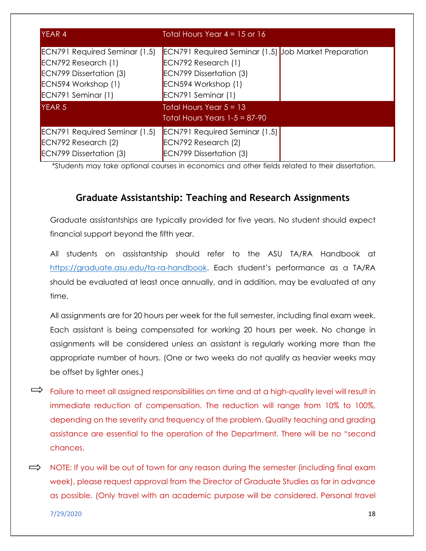| <b>YEAR 4</b>                                                                                                                              | Total Hours Year $4 = 15$ or 16                                                                                                                                   |  |
|--------------------------------------------------------------------------------------------------------------------------------------------|-------------------------------------------------------------------------------------------------------------------------------------------------------------------|--|
| <b>ECN791 Required Seminar (1.5)</b><br>ECN792 Research (1)<br><b>ECN799 Dissertation (3)</b><br>ECN594 Workshop (1)<br>ECN791 Seminar (1) | <b>ECN791 Required Seminar (1.5) Job Market Preparation</b><br>ECN792 Research (1)<br><b>ECN799 Dissertation (3)</b><br>ECN594 Workshop (1)<br>ECN791 Seminar (1) |  |
| <b>YEAR 5</b>                                                                                                                              | Total Hours Year $5 = 13$<br>Total Hours Years $1-5 = 87-90$                                                                                                      |  |
| <b>ECN791 Required Seminar (1.5)</b><br>ECN792 Research (2)<br><b>ECN799 Dissertation (3)</b>                                              | <b>ECN791 Required Seminar (1.5)</b><br>ECN792 Research (2)<br><b>ECN799 Dissertation (3)</b>                                                                     |  |

\*Students may take optional courses in economics and other fields related to their dissertation.

## **Graduate Assistantship: Teaching and Research Assignments**

Graduate assistantships are typically provided for five years. No student should expect financial support beyond the fifth year.

All students on assistantship should refer to the ASU TA/RA Handbook at [https://graduate.asu.edu/ta-ra-handbook.](https://graduate.asu.edu/ta-ra-handbook) Each student's performance as a TA/RA should be evaluated at least once annually, and in addition, may be evaluated at any time.

All assignments are for 20 hours per week for the full semester, including final exam week. Each assistant is being compensated for working 20 hours per week. No change in assignments will be considered unless an assistant is regularly working more than the appropriate number of hours. (One or two weeks do not qualify as heavier weeks may be offset by lighter ones.)

- $\Rightarrow$  Failure to meet all assigned responsibilities on time and at a high-quality level will result in immediate reduction of compensation. The reduction will range from 10% to 100%, depending on the severity and frequency of the problem. Quality teaching and grading assistance are essential to the operation of the Department. There will be no "second chances.
- $\implies$  NOTE: If you will be out of town for any reason during the semester (including final exam week), please request approval from the Director of Graduate Studies as far in advance as possible. (Only travel with an academic purpose will be considered. Personal travel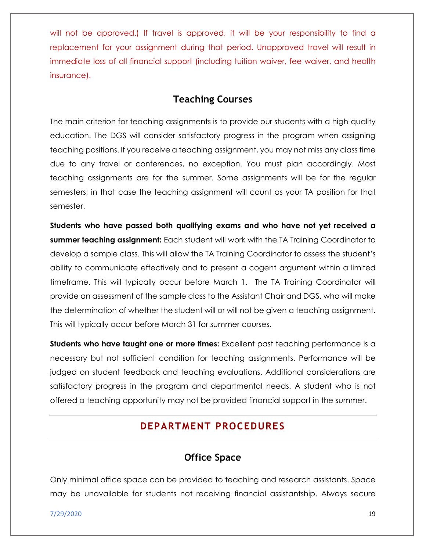will not be approved.) If travel is approved, it will be your responsibility to find a replacement for your assignment during that period. Unapproved travel will result in immediate loss of all financial support (including tuition waiver, fee waiver, and health insurance).

### **Teaching Courses**

The main criterion for teaching assignments is to provide our students with a high-quality education. The DGS will consider satisfactory progress in the program when assigning teaching positions. If you receive a teaching assignment, you may not miss any class time due to any travel or conferences, no exception. You must plan accordingly. Most teaching assignments are for the summer. Some assignments will be for the regular semesters; in that case the teaching assignment will count as your TA position for that semester.

**Students who have passed both qualifying exams and who have not yet received a summer teaching assignment:** Each student will work with the TA Training Coordinator to develop a sample class. This will allow the TA Training Coordinator to assess the student's ability to communicate effectively and to present a cogent argument within a limited timeframe. This will typically occur before March 1. The TA Training Coordinator will provide an assessment of the sample class to the Assistant Chair and DGS, who will make the determination of whether the student will or will not be given a teaching assignment. This will typically occur before March 31 for summer courses.

**Students who have taught one or more times:** Excellent past teaching performance is a necessary but not sufficient condition for teaching assignments. Performance will be judged on student feedback and teaching evaluations. Additional considerations are satisfactory progress in the program and departmental needs. A student who is not offered a teaching opportunity may not be provided financial support in the summer.

## **DEPARTMENT PROCEDURES**

### **Office Space**

Only minimal office space can be provided to teaching and research assistants. Space may be unavailable for students not receiving financial assistantship. Always secure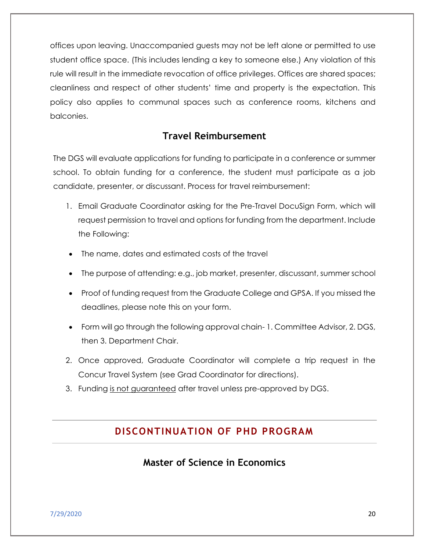offices upon leaving. Unaccompanied guests may not be left alone or permitted to use student office space. (This includes lending a key to someone else.) Any violation of this rule will result in the immediate revocation of office privileges. Offices are shared spaces; cleanliness and respect of other students' time and property is the expectation. This policy also applies to communal spaces such as conference rooms, kitchens and balconies.

### **Travel Reimbursement**

The DGS will evaluate applications for funding to participate in a conference or summer school. To obtain funding for a conference, the student must participate as a job candidate, presenter, or discussant. Process for travel reimbursement:

- 1. Email Graduate Coordinator asking for the Pre-Travel DocuSign Form, which will request permission to travel and options for funding from the department. Include the Following:
- The name, dates and estimated costs of the travel
- The purpose of attending: e.g., job market, presenter, discussant, summer school
- Proof of funding request from the Graduate College and GPSA. If you missed the deadlines, please note this on your form.
- Form will go through the following approval chain- 1. Committee Advisor, 2. DGS, then 3. Department Chair.
- 2. Once approved, Graduate Coordinator will complete a trip request in the Concur Travel System (see Grad Coordinator for directions).
- 3. Funding is not guaranteed after travel unless pre-approved by DGS.

### **DISCONTINUATION OF PHD PROGRAM**

### **Master of Science in Economics**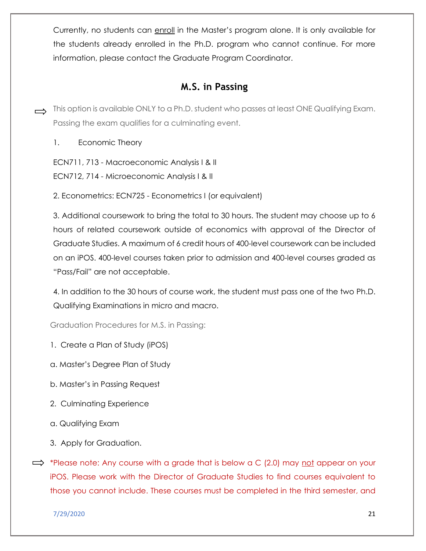Currently, no students can enroll in the Master's program alone. It is only available for the students already enrolled in the Ph.D. program who cannot continue. For more information, please contact the Graduate Program Coordinator.

### **M.S. in Passing**

- $\rightarrow$  This option is available ONLY to a Ph.D. student who passes at least ONE Qualifying Exam. Passing the exam qualifies for a culminating event.
	- 1. Economic Theory

ECN711, 713 - Macroeconomic Analysis I & II

ECN712, 714 - Microeconomic Analysis I & II

2. Econometrics: ECN725 - Econometrics I (or equivalent)

3. Additional coursework to bring the total to 30 hours. The student may choose up to 6 hours of related coursework outside of economics with approval of the Director of Graduate Studies. A maximum of 6 credit hours of 400-level coursework can be included on an iPOS. 400-level courses taken prior to admission and 400-level courses graded as "Pass/Fail" are not acceptable.

4. In addition to the 30 hours of course work, the student must pass one of the two Ph.D. Qualifying Examinations in micro and macro.

Graduation Procedures for M.S. in Passing:

- 1. Create a Plan of Study (iPOS)
- a. Master's Degree Plan of Study
- b. Master's in Passing Request
- 2. Culminating Experience
- a. Qualifying Exam
- 3. Apply for Graduation.
- $\implies$  \*Please note: Any course with a grade that is below a C (2.0) may not appear on your iPOS. Please work with the Director of Graduate Studies to find courses equivalent to those you cannot include. These courses must be completed in the third semester, and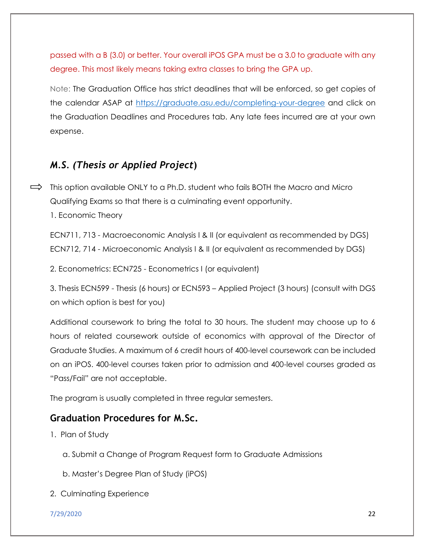passed with a B (3.0) or better. Your overall iPOS GPA must be a 3.0 to graduate with any degree. This most likely means taking extra classes to bring the GPA up.

Note: The Graduation Office has strict deadlines that will be enforced, so get copies of the calendar ASAP at<https://graduate.asu.edu/completing-your-degree> and click on the Graduation Deadlines and Procedures tab. Any late fees incurred are at your own expense.

### *M.S. (Thesis or Applied Project***)**

 $\implies$  This option available ONLY to a Ph.D. student who fails BOTH the Macro and Micro Qualifying Exams so that there is a culminating event opportunity.

1. Economic Theory

ECN711, 713 - Macroeconomic Analysis I & II (or equivalent as recommended by DGS) ECN712, 714 - Microeconomic Analysis I & II (or equivalent as recommended by DGS)

2. Econometrics: ECN725 - Econometrics I (or equivalent)

3. Thesis ECN599 - Thesis (6 hours) or ECN593 – Applied Project (3 hours) (consult with DGS on which option is best for you)

Additional coursework to bring the total to 30 hours. The student may choose up to 6 hours of related coursework outside of economics with approval of the Director of Graduate Studies. A maximum of 6 credit hours of 400-level coursework can be included on an iPOS. 400-level courses taken prior to admission and 400-level courses graded as "Pass/Fail" are not acceptable.

The program is usually completed in three regular semesters.

### **Graduation Procedures for M.Sc.**

1. Plan of Study

- a. Submit a Change of Program Request form to Graduate Admissions
- b. Master's Degree Plan of Study (iPOS)
- 2. Culminating Experience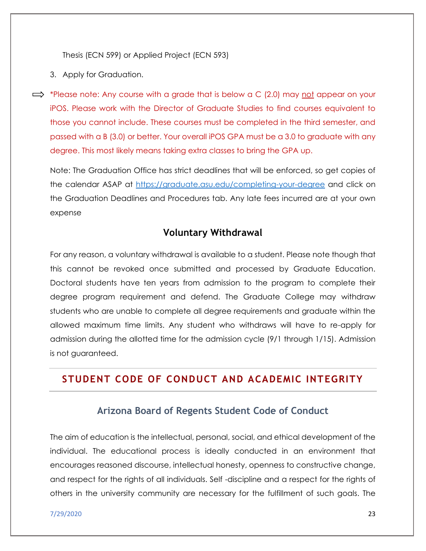Thesis (ECN 599) or Applied Project (ECN 593)

- 3. Apply for Graduation.
- $\implies$  \*Please note: Any course with a grade that is below a C (2.0) may not appear on your iPOS. Please work with the Director of Graduate Studies to find courses equivalent to those you cannot include. These courses must be completed in the third semester, and passed with a B (3.0) or better. Your overall iPOS GPA must be a 3.0 to graduate with any degree. This most likely means taking extra classes to bring the GPA up.

Note: The Graduation Office has strict deadlines that will be enforced, so get copies of the calendar ASAP at<https://graduate.asu.edu/completing-your-degree> and click on the Graduation Deadlines and Procedures tab. Any late fees incurred are at your own expense

### **Voluntary Withdrawal**

For any reason, a voluntary withdrawal is available to a student. Please note though that this cannot be revoked once submitted and processed by Graduate Education. Doctoral students have ten years from admission to the program to complete their degree program requirement and defend. The Graduate College may withdraw students who are unable to complete all degree requirements and graduate within the allowed maximum time limits. Any student who withdraws will have to re-apply for admission during the allotted time for the admission cycle (9/1 through 1/15). Admission is not guaranteed.

### **STUDENT CODE OF CONDUCT AND ACADEMIC INTEGRITY**

### **Arizona Board of Regents Student Code of Conduct**

The aim of education is the intellectual, personal, social, and ethical development of the individual. The educational process is ideally conducted in an environment that encourages reasoned discourse, intellectual honesty, openness to constructive change, and respect for the rights of all individuals. Self -discipline and a respect for the rights of others in the university community are necessary for the fulfillment of such goals. The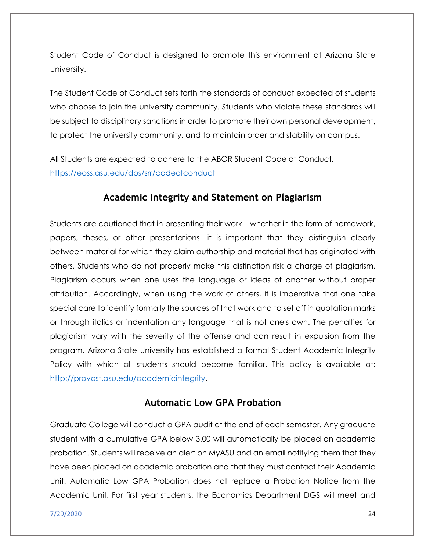Student Code of Conduct is designed to promote this environment at Arizona State University.

The Student Code of Conduct sets forth the standards of conduct expected of students who choose to join the university community. Students who violate these standards will be subject to disciplinary sanctions in order to promote their own personal development, to protect the university community, and to maintain order and stability on campus.

All Students are expected to adhere to the ABOR Student Code of Conduct. <https://eoss.asu.edu/dos/srr/codeofconduct>

### **Academic Integrity and Statement on Plagiarism**

Students are cautioned that in presenting their work---whether in the form of homework, papers, theses, or other presentations---it is important that they distinguish clearly between material for which they claim authorship and material that has originated with others. Students who do not properly make this distinction risk a charge of plagiarism. Plagiarism occurs when one uses the language or ideas of another without proper attribution. Accordingly, when using the work of others, it is imperative that one take special care to identify formally the sources of that work and to set off in quotation marks or through italics or indentation any language that is not one's own. The penalties for plagiarism vary with the severity of the offense and can result in expulsion from the program. Arizona State University has established a formal Student Academic Integrity Policy with which all students should become familiar. This policy is available at: [http://provost.asu.edu/academicintegrity.](http://provost.asu.edu/academicintegrity)

### **Automatic Low GPA Probation**

Graduate College will conduct a GPA audit at the end of each semester. Any graduate student with a cumulative GPA below 3.00 will automatically be placed on academic probation. Students will receive an alert on MyASU and an email notifying them that they have been placed on academic probation and that they must contact their Academic Unit. Automatic Low GPA Probation does not replace a Probation Notice from the Academic Unit. For first year students, the Economics Department DGS will meet and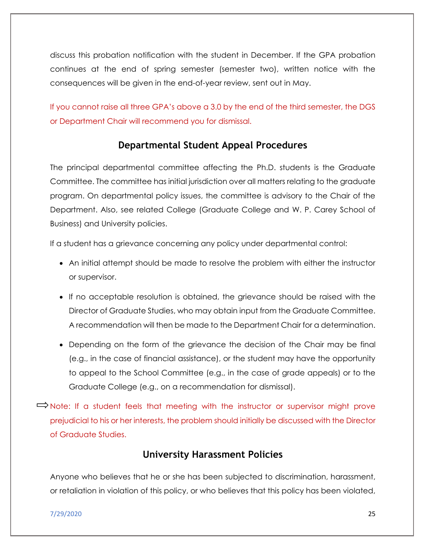discuss this probation notification with the student in December. If the GPA probation continues at the end of spring semester (semester two), written notice with the consequences will be given in the end-of-year review, sent out in May.

If you cannot raise all three GPA's above a 3.0 by the end of the third semester, the DGS or Department Chair will recommend you for dismissal.

### **Departmental Student Appeal Procedures**

The principal departmental committee affecting the Ph.D. students is the Graduate Committee. The committee has initial jurisdiction over all matters relating to the graduate program. On departmental policy issues, the committee is advisory to the Chair of the Department. Also, see related College (Graduate College and W. P. Carey School of Business) and University policies.

If a student has a grievance concerning any policy under departmental control:

- An initial attempt should be made to resolve the problem with either the instructor or supervisor.
- If no acceptable resolution is obtained, the grievance should be raised with the Director of Graduate Studies, who may obtain input from the Graduate Committee. A recommendation will then be made to the Department Chair for a determination.
- Depending on the form of the grievance the decision of the Chair may be final (e.g., in the case of financial assistance), or the student may have the opportunity to appeal to the School Committee (e.g., in the case of grade appeals) or to the Graduate College (e.g., on a recommendation for dismissal).

 $\Rightarrow$  Note: If a student feels that meeting with the instructor or supervisor might prove prejudicial to his or her interests, the problem should initially be discussed with the Director of Graduate Studies.

### **University Harassment Policies**

Anyone who believes that he or she has been subjected to discrimination, harassment, or retaliation in violation of this policy, or who believes that this policy has been violated,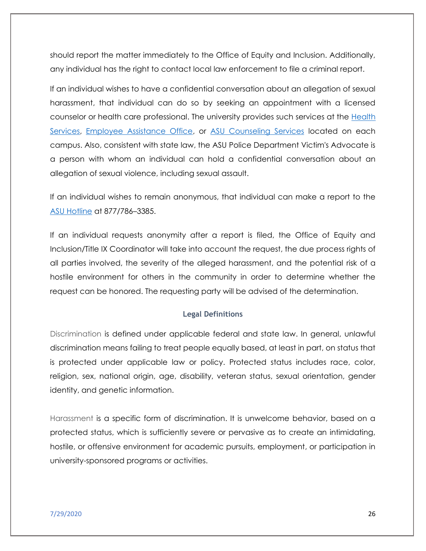should report the matter immediately to the Office of Equity and Inclusion. Additionally, any individual has the right to contact local law enforcement to file a criminal report.

If an individual wishes to have a confidential conversation about an allegation of sexual harassment, that individual can do so by seeking an appointment with a licensed counselor or health care professional. The university provides such services at the [Health](https://www.asu.edu/aad/manuals/acd/healthservices.html)  [Services,](https://www.asu.edu/aad/manuals/acd/healthservices.html) [Employee Assistance Office,](https://www.asu.edu/aad/manuals/acd/emp-assist.html) or [ASU Counseling Services](https://www.asu.edu/aad/manuals/acd/counseling-srvs.html) located on each campus. Also, consistent with state law, the ASU Police Department Victim's Advocate is a person with whom an individual can hold a confidential conversation about an allegation of sexual violence, including sexual assault.

If an individual wishes to remain anonymous, that individual can make a report to the [ASU Hotline](https://www.asu.edu/aad/manuals/acd/asu-hotline.html) at 877/786–3385.

If an individual requests anonymity after a report is filed, the Office of Equity and Inclusion/Title IX Coordinator will take into account the request, the due process rights of all parties involved, the severity of the alleged harassment, and the potential risk of a hostile environment for others in the community in order to determine whether the request can be honored. The requesting party will be advised of the determination.

#### **Legal Definitions**

Discrimination is defined under applicable federal and state law. In general, unlawful discrimination means failing to treat people equally based, at least in part, on status that is protected under applicable law or policy. Protected status includes race, color, religion, sex, national origin, age, disability, veteran status, sexual orientation, gender identity, and genetic information.

Harassment is a specific form of discrimination. It is unwelcome behavior, based on a protected status, which is sufficiently severe or pervasive as to create an intimidating, hostile, or offensive environment for academic pursuits, employment, or participation in university-sponsored programs or activities.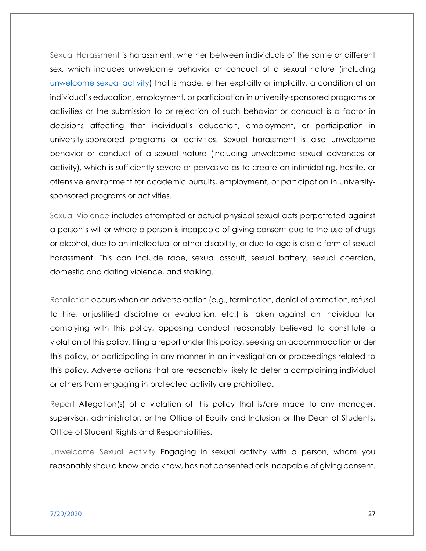Sexual Harassment is harassment, whether between individuals of the same or different sex, which includes unwelcome behavior or conduct of a sexual nature (including [unwelcome sexual activity\)](https://www.asu.edu/aad/manuals/acd/acd401.html#unwlcmsexactivity) that is made, either explicitly or implicitly, a condition of an individual's education, employment, or participation in university-sponsored programs or activities or the submission to or rejection of such behavior or conduct is a factor in decisions affecting that individual's education, employment, or participation in university-sponsored programs or activities. Sexual harassment is also unwelcome behavior or conduct of a sexual nature (including unwelcome sexual advances or activity), which is sufficiently severe or pervasive as to create an intimidating, hostile, or offensive environment for academic pursuits, employment, or participation in universitysponsored programs or activities.

Sexual Violence includes attempted or actual physical sexual acts perpetrated against a person's will or where a person is incapable of giving consent due to the use of drugs or alcohol, due to an intellectual or other disability, or due to age is also a form of sexual harassment. This can include rape, sexual assault, sexual battery, sexual coercion, domestic and dating violence, and stalking.

Retaliation occurs when an adverse action (e.g., termination, denial of promotion, refusal to hire, unjustified discipline or evaluation, etc.) is taken against an individual for complying with this policy, opposing conduct reasonably believed to constitute a violation of this policy, filing a report under this policy, seeking an accommodation under this policy, or participating in any manner in an investigation or proceedings related to this policy. Adverse actions that are reasonably likely to deter a complaining individual or others from engaging in protected activity are prohibited.

Report Allegation(s) of a violation of this policy that is/are made to any manager, supervisor, administrator, or the Office of Equity and Inclusion or the Dean of Students, Office of Student Rights and Responsibilities.

Unwelcome Sexual Activity Engaging in sexual activity with a person, whom you reasonably should know or do know, has not consented or is incapable of giving consent.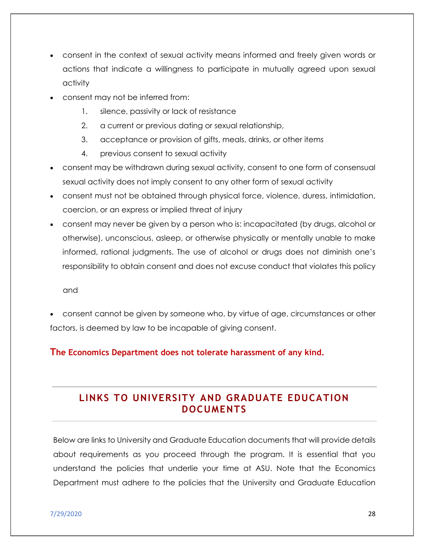- consent in the context of sexual activity means informed and freely given words or actions that indicate a willingness to participate in mutually agreed upon sexual activity
- consent may not be inferred from:
	- 1. silence, passivity or lack of resistance
	- 2. a current or previous dating or sexual relationship,
	- 3. acceptance or provision of gifts, meals, drinks, or other items
	- 4. previous consent to sexual activity
- consent may be withdrawn during sexual activity, consent to one form of consensual sexual activity does not imply consent to any other form of sexual activity
- consent must not be obtained through physical force, violence, duress, intimidation, coercion, or an express or implied threat of injury
- consent may never be given by a person who is: incapacitated (by drugs, alcohol or otherwise), unconscious, asleep, or otherwise physically or mentally unable to make informed, rational judgments. The use of alcohol or drugs does not diminish one's responsibility to obtain consent and does not excuse conduct that violates this policy

and

 consent cannot be given by someone who, by virtue of age, circumstances or other factors, is deemed by law to be incapable of giving consent.

#### **The Economics Department does not tolerate harassment of any kind.**

## **LINKS TO UNIVERSITY AND GRADUATE EDUCATION DOCUMENTS**

Below are links to University and Graduate Education documents that will provide details about requirements as you proceed through the program. It is essential that you understand the policies that underlie your time at ASU. Note that the Economics Department must adhere to the policies that the University and Graduate Education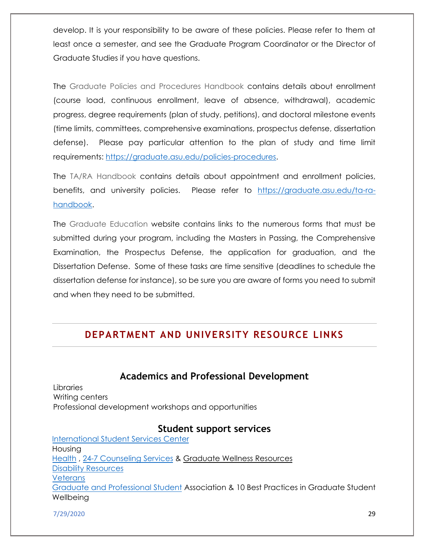develop. It is your responsibility to be aware of these policies. Please refer to them at least once a semester, and see the Graduate Program Coordinator or the Director of Graduate Studies if you have questions.

The Graduate Policies and Procedures Handbook contains details about enrollment (course load, continuous enrollment, leave of absence, withdrawal), academic progress, degree requirements (plan of study, petitions), and doctoral milestone events (time limits, committees, comprehensive examinations, prospectus defense, dissertation defense). Please pay particular attention to the plan of study and time limit requirements: [https://graduate.asu.edu/policies-procedures.](https://graduate.asu.edu/policies-procedures)

The TA/RA Handbook contains details about appointment and enrollment policies, benefits, and university policies. Please refer to [https://graduate.asu.edu/ta-ra](https://graduate.asu.edu/ta-ra-handbook)[handbook.](https://graduate.asu.edu/ta-ra-handbook)

The Graduate Education website contains links to the numerous forms that must be submitted during your program, including the Masters in Passing, the Comprehensive Examination, the Prospectus Defense, the application for graduation, and the Dissertation Defense. Some of these tasks are time sensitive (deadlines to schedule the dissertation defense for instance), so be sure you are aware of forms you need to submit and when they need to be submitted.

### **DEPARTMENT AND UNIVERSITY RESOURCE LINKS**

### **Academics and Professional Development**

Libraries Writing centers Professional development workshops and opportunities

#### **Student support services**

[International Student Services Center](https://issc.asu.edu/students/welcome) Housing [Health](https://eoss.asu.edu/health) , [24-7 Counseling Services](https://eoss.asu.edu/counseling) & [Graduate Wellness Resources](https://graduate.asu.edu/sites/default/files/wellness_resources.pdf) [Disability Resources](https://eoss.asu.edu/drc)  **Veterans** [Graduate and Professional Student](https://gpsa.asu.edu/) Association & [10 Best Practices in Graduate Student](https://graduate.asu.edu/sites/default/files/student_well_being_best_practice.pdf)  **Wellbeing**